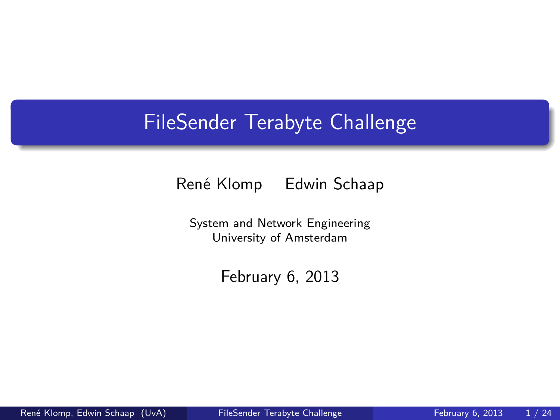#### FileSender Terabyte Challenge

René Klomp Edwin Schaap

System and Network Engineering University of Amsterdam

<span id="page-0-0"></span>February 6, 2013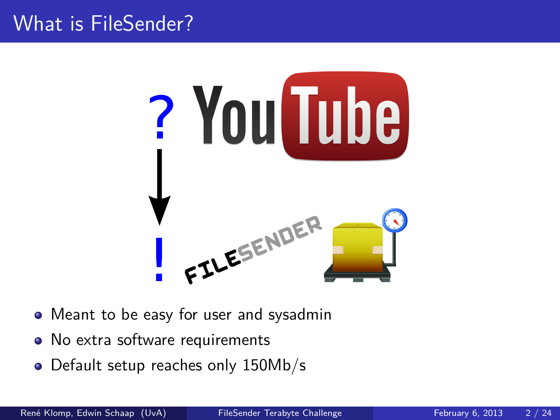#### What is FileSender?



- Meant to be easy for user and sysadmin
- No extra software requirements
- Default setup reaches only 150Mb/s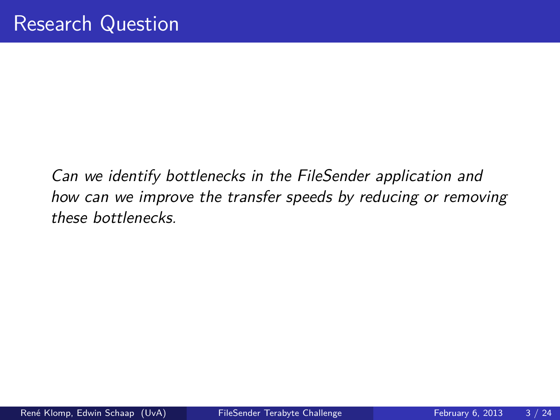Can we identify bottlenecks in the FileSender application and how can we improve the transfer speeds by reducing or removing these bottlenecks.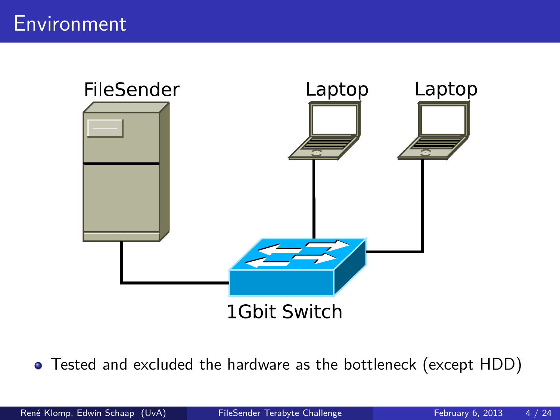

Tested and excluded the hardware as the bottleneck (except HDD)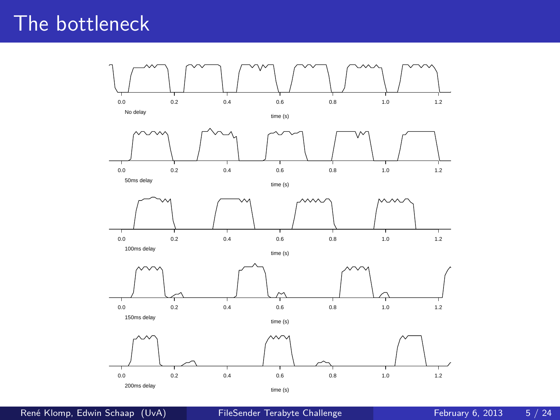#### The bottleneck



René Klomp, Edwin Schaap (UvA) [FileSender Terabyte Challenge](#page-0-0) February 6, 2013 5 / 24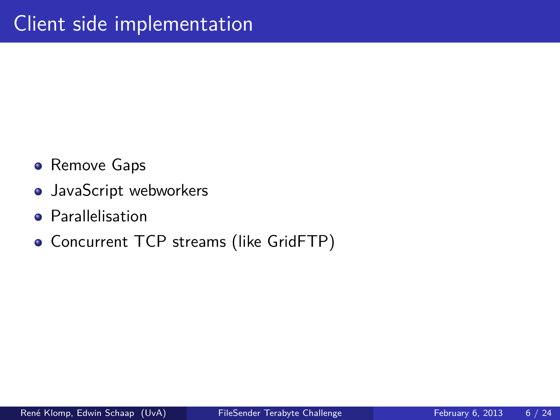- **•** Remove Gaps
- JavaScript webworkers
- **Parallelisation**
- Concurrent TCP streams (like GridFTP)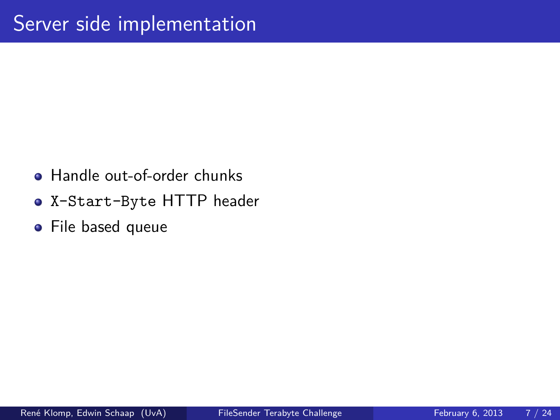- **Handle out-of-order chunks**
- X-Start-Byte HTTP header
- **•** File based queue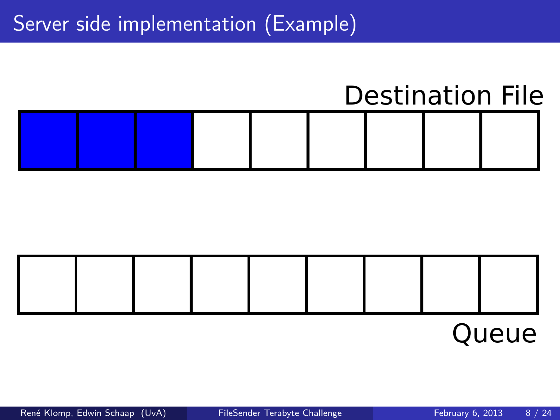## Destination File



## Queue

René Klomp, Edwin Schaap (UvA) [FileSender Terabyte Challenge](#page-0-0) February 6, 2013 8 / 24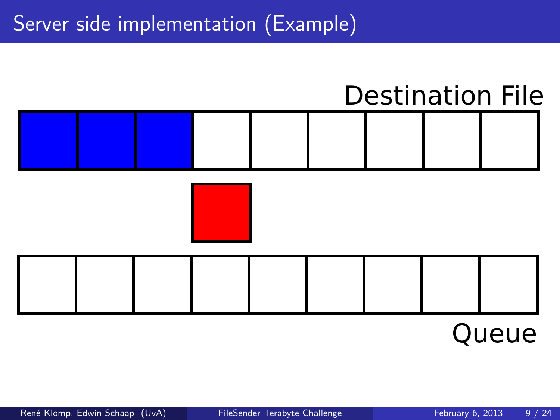## Destination File







# Queue

René Klomp, Edwin Schaap (UvA) [FileSender Terabyte Challenge](#page-0-0) February 6, 2013 9 / 24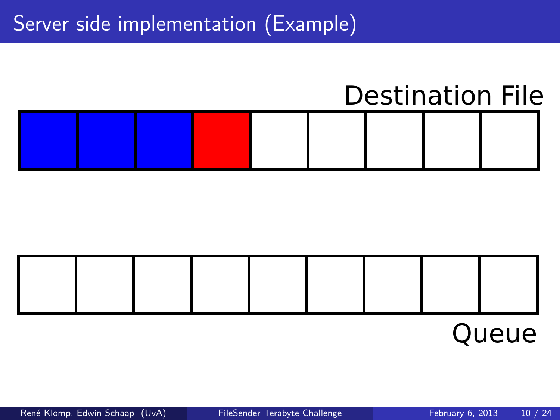## Destination File



Queue

René Klomp, Edwin Schaap (UvA) [FileSender Terabyte Challenge](#page-0-0) February 6, 2013 10 / 24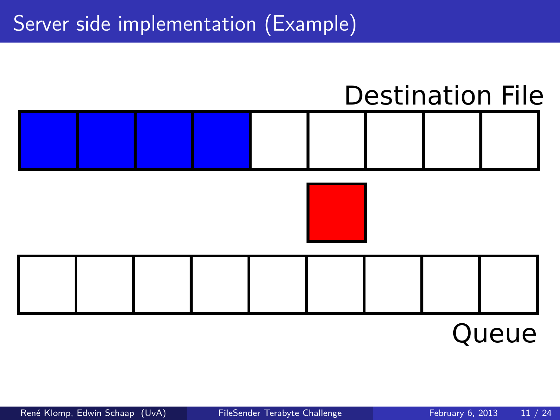## Destination File





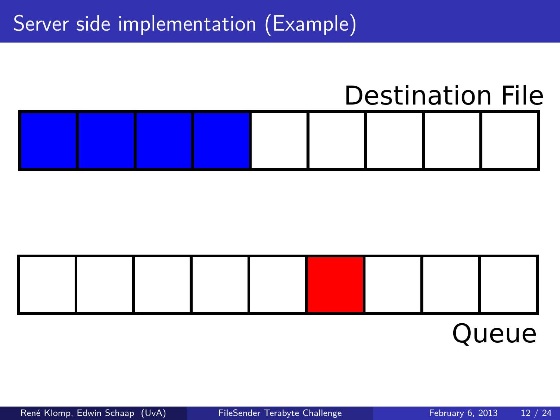## Destination File



## Queue

René Klomp, Edwin Schaap (UvA) [FileSender Terabyte Challenge](#page-0-0) February 6, 2013 12 / 24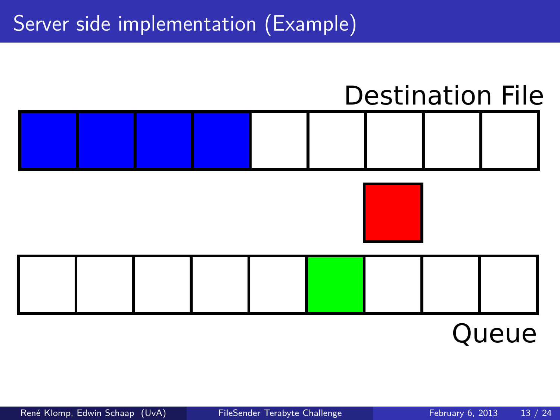

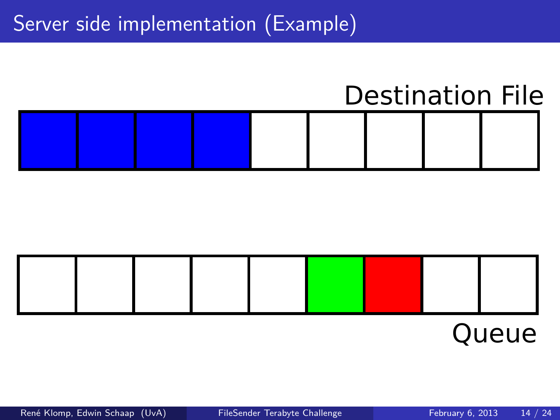## Destination File



## Queue

René Klomp, Edwin Schaap (UvA) [FileSender Terabyte Challenge](#page-0-0) February 6, 2013 14 / 24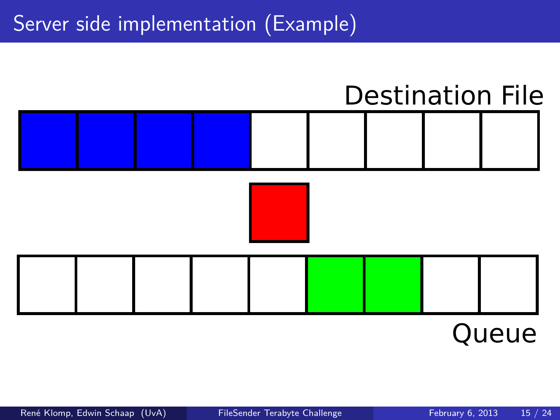

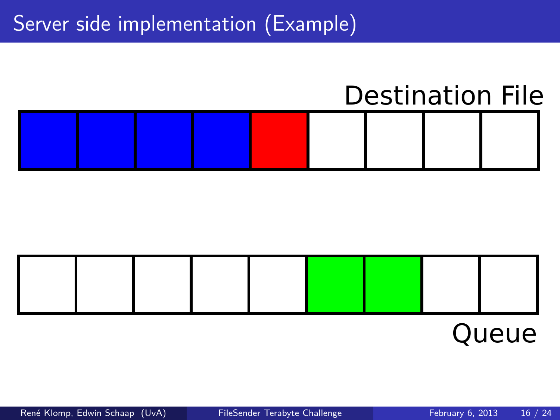## Destination File



# Queue

René Klomp, Edwin Schaap (UvA) [FileSender Terabyte Challenge](#page-0-0) February 6, 2013 16 / 24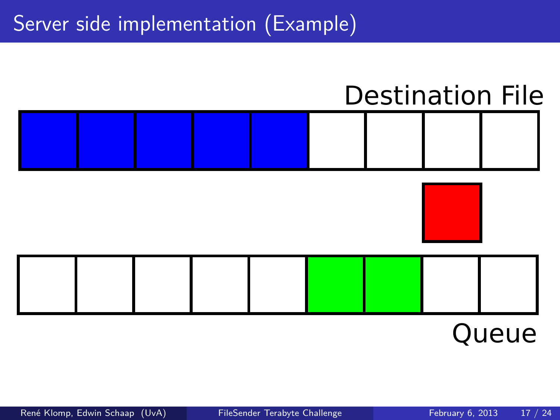## Destination File





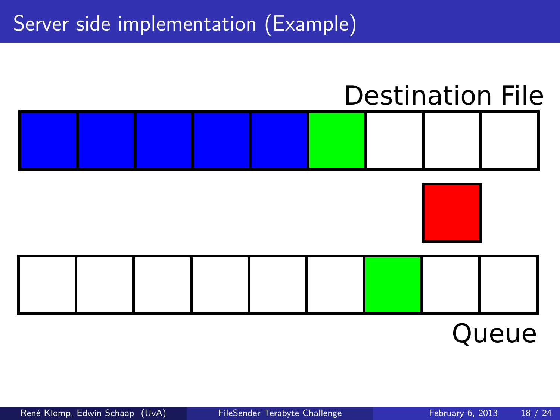## Destination File





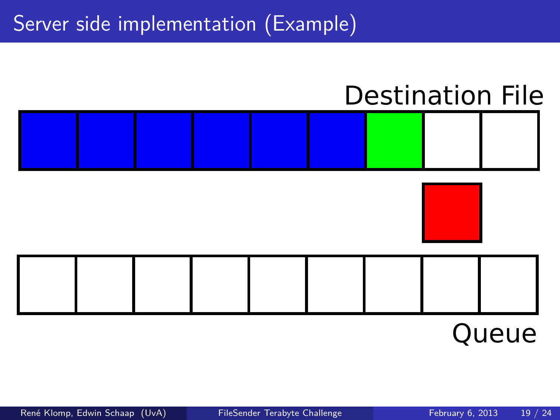## Destination File





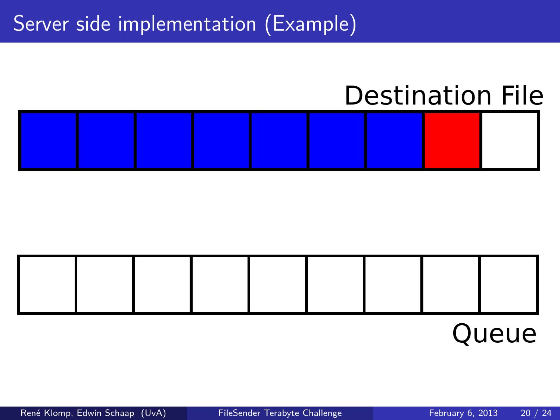## Destination File





## Queue

René Klomp, Edwin Schaap (UvA) [FileSender Terabyte Challenge](#page-0-0) February 6, 2013 20 / 24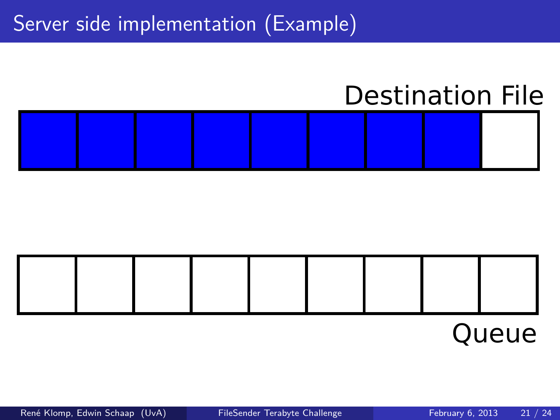## Destination File





Queue

René Klomp, Edwin Schaap (UvA) [FileSender Terabyte Challenge](#page-0-0) February 6, 2013 21 / 24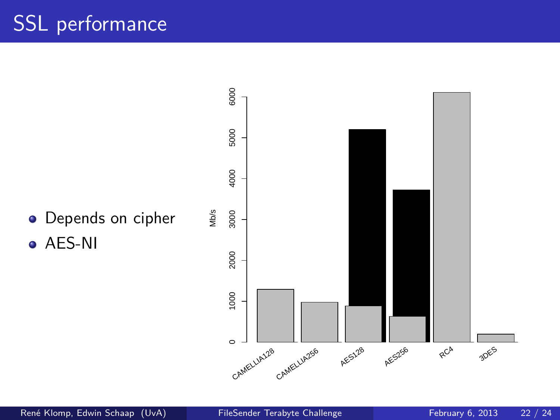## SSL performance

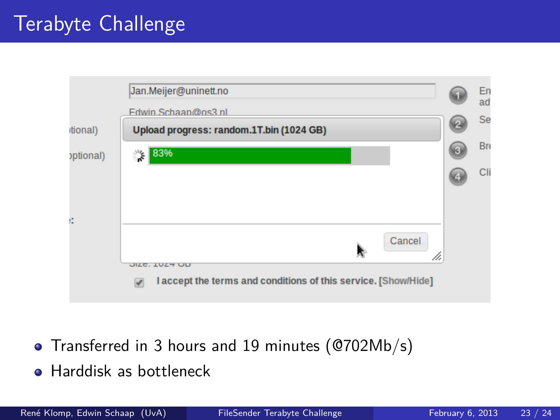|           | Jan.Meijer@uninett.no                                               | En<br>ad |
|-----------|---------------------------------------------------------------------|----------|
|           | Fdwin.Schaan@os3.nl                                                 |          |
| tional)   | Upload progress: random.1T.bin (1024 GB)                            | Se       |
| optional) | 83%<br>"⊱                                                           | Br       |
|           |                                                                     | Cli      |
|           |                                                                     |          |
| ĸ         |                                                                     |          |
|           | Cancel<br>M                                                         |          |
|           | <b>JILE, IVLY UD</b>                                                |          |
|           | I accept the terms and conditions of this service. [Show/Hide]<br>v |          |

- Transferred in 3 hours and 19 minutes (@702Mb/s)
- Harddisk as bottleneck